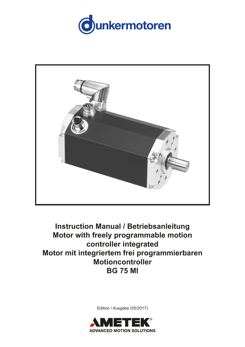



**Instruction Manual / Betriebsanleitung Motor with freely programmable motion controller integrated Motor mit integriertem frei programmierbaren Motioncontroller BG 75 MI**

Edition / Ausgabe (05/2017)

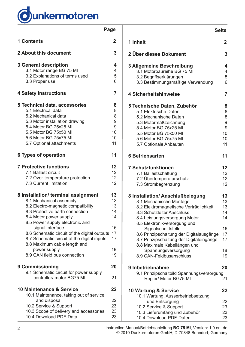

|                                                                                                                                                                                                                                                                          | Page                                    |
|--------------------------------------------------------------------------------------------------------------------------------------------------------------------------------------------------------------------------------------------------------------------------|-----------------------------------------|
| <b>1 Contents</b>                                                                                                                                                                                                                                                        | $\mathbf 2$                             |
| 2 About this document                                                                                                                                                                                                                                                    | 3                                       |
| <b>3 General description</b><br>3.1 Motor range BG 75 MI<br>3.2 Explanations of terms used<br>3.3 Proper use                                                                                                                                                             | 4<br>$\overline{4}$<br>5<br>6           |
| <b>4 Safety instructions</b>                                                                                                                                                                                                                                             | 7                                       |
| 5 Technical data, accessories<br>5.1 Electrical data<br>5.2 Mechanical data<br>5.3 Motor installation drawing<br>5.4 Motor BG 75x25 MI<br>5.5 Motor BG 75x50 MI<br>5.6 Motor BG 75x75 MI<br>5.7 Optional attachments                                                     | 8<br>8<br>8<br>9<br>9<br>10<br>10<br>11 |
| 6 Types of operation                                                                                                                                                                                                                                                     | 11                                      |
| <b>7 Protective functions</b><br>7.1 Ballast circuit<br>7.2 Over-temperature protection<br>7.3 Current limitation                                                                                                                                                        | 12<br>12<br>12<br>12                    |
| 8 Installation/ terminal assignment<br>8.1 Mechanical assembly<br>8.2 Electro-magnetic compatibility<br>8.3 Protective earth connection<br>8.4 Motor power supply<br>8.5 Power supply electronic and<br>signal interface<br>8.6 Schematic circuit of the digital outputs | 13<br>13<br>13<br>14<br>14<br>16<br>17  |
| 8.7 Schematic circuit of the digital inputs<br>8.8 Maximum cable length and<br>power supply<br>8.9 CAN field bus connection                                                                                                                                              | 17<br>18<br>19                          |
| 9 Commissioning                                                                                                                                                                                                                                                          | 20                                      |
| 9.1 Schematic circuit for power supply<br>controller/ motor BG75 MI                                                                                                                                                                                                      | 21                                      |
| 10 Maintenance & Service<br>10.1 Maintenance, taking out of service                                                                                                                                                                                                      | 22                                      |
| and disposal<br>10.2 Service & Support<br>10.3 Scope of delivery and accessories<br>10.4 Download PDF-Data                                                                                                                                                               | 22<br>23<br>23<br>23                    |

|                                                                                                                                                                                                             | <b>Seite</b>                            |
|-------------------------------------------------------------------------------------------------------------------------------------------------------------------------------------------------------------|-----------------------------------------|
| 1 Inhalt                                                                                                                                                                                                    | $\mathbf 2$                             |
| 2 Über dieses Dokument                                                                                                                                                                                      | 3                                       |
| 3 Allgemeine Beschreibung<br>3.1 Motorbaureihe BG 75 MI<br>3.2 Begriffserklärungen<br>3.3 Bestimmungsmäßige Verwendung                                                                                      | 4<br>4<br>5<br>6                        |
| <b>4 Sicherheitshinweise</b>                                                                                                                                                                                | 7                                       |
| 5 Technische Daten, Zubehör<br>5.1 Elektrische Daten<br>5.2 Mechanische Daten<br>5.3 Motormaßzeichnung<br>5.4 Motor BG 75x25 MI<br>5.5 Motor BG 75x50 MI<br>5.6 Motor BG 75x75 MI<br>5.7 Optionale Anbauten | 8<br>8<br>8<br>9<br>9<br>10<br>10<br>11 |
| <b>6 Betriebsarten</b>                                                                                                                                                                                      | 11                                      |
| <b>7 Schutzfunktionen</b><br>7.1 Ballastschaltung<br>7.2 Übertemperaturschutz<br>7.3 Strombegrenzung                                                                                                        | 12<br>12<br>12<br>12                    |
| 8 Installation/ Anschlußbelegung<br>8.1 Mechanische Montage<br>8.2 Elektromagnetische Verträglichkeit<br>8.3 Schutzleiter Anschluss<br>8.4 Leistungsversorgung Motor<br>8.5 Elektronikversorgung und        | 13<br>13<br>13<br>14<br>14              |
| Signalschnittstelle<br>8.6 Prinzipschaltung der Digitalausgänge<br>8.7 Prinzipschaltung der Digitaleingänge<br>8.8 Maximale Kabellängen und                                                                 | 16<br>17<br>17                          |
| Spannungsversorgung<br>8.9 CAN-Feldbusanschluss                                                                                                                                                             | 18<br>19                                |
| 9 Inbetriebnahme<br>9.1 Prinzipschaltbild Spannungsversorgung<br>Regler/ Motor BG75 MI                                                                                                                      | 20<br>21                                |
| 10 Wartung & Service                                                                                                                                                                                        | 22                                      |
| 10.1 Wartung, Ausserbetriebsetzung<br>und Entsorgung<br>10.2 Service & Support<br>10.3 Lieferumfang und Zubehör<br>10.4 Download PDF-Daten                                                                  | 22<br>23<br>23<br>23                    |

2 Instruction Manual/Betriebsanleitung **BG 75 MI**, Version: 1.0 en\_de © 2010 Dunkermotoren GmbH; D-79848 Bonndorf; Germany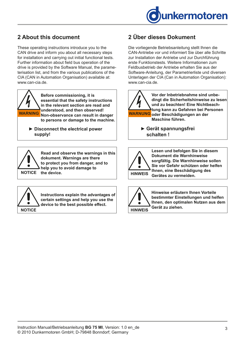

# <span id="page-2-0"></span>**2 About this document**

These operating instructions introduce you to the CAN drive and inform you about all necessary steps for installation and carrying out initial functional tests. Further information about field bus operation of the drive is provided by the Software Manual, the parameterisation list, and from the various publications of the CIA (CAN in Automation Organisation) available at: www.can-cia.de.



**Before commissioning, it is essential that the safety instructions in the relevant section are read and understood, and then observed! Non-observance can result in danger WARNING WARNUNGto persons or damage to the machine.**

▶ Disconnect the electrical power  **supply!**



**Read and observe the warnings in this dokument. Warnings are there to protect you from danger, and to help you to avoid damage to** 



**Instructions explain the advantages of certain settings and help you use the device to the best possible effect.**

# **2 Über dieses Dokument**

Die vorliegende Betriebsanleitung stellt Ihnen die CAN-Antriebe vor und informiert Sie über alle Schritte zur Installation der Antriebe und zur Durchführung erste Funktionstests. Weitere Informationen zum Feldbusbetrieb der Antriebe erhalten Sie aus der Software-Anleitung, der Parametrierliste und diversen Unterlagen der CIA (Can in Automation Organisation): www.can-cia.de.



**Vor der Inbetriebnahme sind unbedingt die Sicherheitshinweise zu lesen und zu beachten! Eine Nichtbeachtung kann zu Gefahren bei Personen oder Beschädigungen an der Maschine führen.**

> **► Gerät spannungsfrei schalten !**



**Lesen und befolgen Sie in diesem Dokument die Warnhinweise sorgfältig. Die Warnhinweise sollen Sie vor Gefahr schützen oder helfen Ihnen, eine Beschädigung des Gerätes zu vermeiden. HINWEIS**



**Hinweise erläutern Ihnen Vorteile bestimmter Einstellungen und helfen Ihnen, den optimalen Nutzen aus dem Gerät zu ziehen. HINWEIS**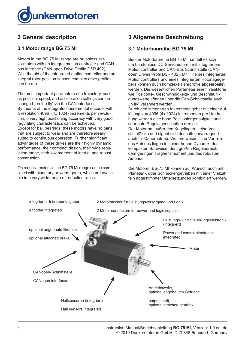<span id="page-3-0"></span>

# **3 General description**

### **3.1 Motor range BG 75 MI**

Motors in the BG 75 MI range are brushless servo-motors with an integral motion controller and CAN bus interface (CAN-open Drive Profile DSP 402). With the aid of the integrated motion controller and an integral rotor-position sensor, complex drive profiles can be run.

The most important parameters of a trajectory, such as position, speed, and acceleration settings can be changed "on the fly" via the CAN interface. By means of the integrated incremental encoder with a resolution 4096 (4x 1024) increments per revolution, a very high positioning accuracy with very good regulating characteristics can be achieved. Except for ball bearings, these motors have no parts that are subject to wear and are therefore ideally suited to continuous operation. Further significant advantages of these drives are their highly dynamic performance, their compact design, their wide regulation range, their low moment of inertia, and robust construction.

On request, motors in the BG 75 MI range can be combined with planetary or worm gears, which are available in a very wide range of reduction ratios.

# **3 Allgemeine Beschreibung**

#### **3.1 Motorbaureihe BG 75 MI**

Bei der Motorbaureihe BG 75 MI handelt es sich um bürstenlose DC-Servomotoren mit integriertem Motioncontroller und CAN-Bus Schnittstelle (CANopen Drives Profil DSP 402). Mit Hilfe des integrierten Motioncontrollers und eines integrierten Rotorlagegebers können auch komplexe Fahrprofile abgearbeitet werden. Die wesentlichen Parameter einer Trajektorie wie Positions-, Geschwindigkeits- und Beschleunigungswerte können über die Can-Schnittstelle auch "in fly" verändert werden.

Durch den integrierten Inkrementalgeber mit einer Auflösung von 4096 (4x 1024) Inkrementen pro Umdrehung werden eine hohe Positioniergenauigkeit und sehr gute Regeleigenschaften erreicht.

Der Motor hat außer den Kugellagern keine Verschleißteile und eignet sich deshalb hervorragend auch für Dauerbetrieb. Weitere wesentliche Vorteile des Antriebs liegen in seiner hohen Dynamik, der kompakten Bauweise, dem großen Regelbereich, dem geringen Trägheitsmoment und des robusten Aufbaus.

Die Motoren BG 75 MI können auf Wunsch auch mit Planeten-, oder Schneckengetrieben mit einer Vielzahl fein abgestimmter Untersetzungen kombiniert werden.

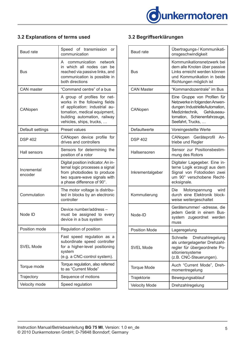

# <span id="page-4-0"></span>**3.2 Explanations of terms used**

| <b>Baud rate</b>       | Speed of transmission<br><b>or</b><br>communication                                                                                                                                         |
|------------------------|---------------------------------------------------------------------------------------------------------------------------------------------------------------------------------------------|
| Bus                    | A communication network<br>in which all nodes can be<br>reached via passive links, and<br>communication is possible in<br>both directions                                                   |
| <b>CAN</b> master      | "Command centre" of a bus                                                                                                                                                                   |
| CANopen                | A group of profiles for net-<br>works in the following fields<br>of application: industrial au-<br>tomation, medical equipment,<br>building automation, railway<br>vehicles, ships, trucks, |
| Default settings       | Preset values                                                                                                                                                                               |
| <b>DSP 402</b>         | CANopen device profile for<br>drives and controllers                                                                                                                                        |
| Hall sensors           | Sensors for determining the<br>position of a rotor                                                                                                                                          |
| Incremental<br>encoder | Digital position indicator. An in-<br>ternal logic processes a signal<br>from photodiodes to produce<br>two square-wave signals with<br>a phase difference of 90°.                          |
| Commutation            | The motor voltage is distribu-<br>ted in blocks by an electronic<br>controller                                                                                                              |
| Node ID                | Device number/address -<br>must be assigned to every<br>device in a bus system                                                                                                              |
| Position mode          | Regulation of position                                                                                                                                                                      |
| <b>SVEL Mode</b>       | Fast speed regulation as a<br>subordinate speed controller<br>for a higher-level positioning<br>system<br>(e.g. a CNC-control system).                                                      |
| Torque mode            | Torque regulation, also referred<br>to as "Current Mode"                                                                                                                                    |
| Trajectory             | Sequence of motions                                                                                                                                                                         |
| Velocity mode          | Speed regulation                                                                                                                                                                            |

# **3.2 Begriffserklärungen**

| <b>Baud rate</b>     | Übertragungs-/ Kommunikati-<br>onsgeschwindigkeit                                                                                                                                   |
|----------------------|-------------------------------------------------------------------------------------------------------------------------------------------------------------------------------------|
| <b>Bus</b>           | Kommunikationsnetzwerk bei<br>dem alle Knoten über passive<br>Links erreicht werden können<br>und Kommunikation in beide<br>Richtungen möglich ist                                  |
| <b>CAN Master</b>    | "Kommandozentrale" im Bus                                                                                                                                                           |
| CANopen              | Eine Gruppe von Profilen für<br>Netzwerke in folgenden Anwen-<br>dungen: IndustrielleAutomation,<br>Medizintechnik, Gehäuseau-<br>tomation, Schienenfahrzeuge,<br>Seefahrt, Trucks, |
| Defaultwerte         | Voreingestellte Werte                                                                                                                                                               |
| <b>DSP 402</b>       | CANopen Geräteprofil<br>An-<br>triebe und Regler                                                                                                                                    |
| Hallsensoren         | Sensor zur Positionsbestim-<br>mung des Rotors                                                                                                                                      |
| Inkrementalgeber     | Digitaler Lagegeber. Eine in-<br>terne Logik erzeugt aus dem<br>Signal von Fotodioden zwei<br>um 90° verschobene Recht-<br>ecksignale.                                              |
| Kommutierung         | wird<br>Die<br>Motorspannung<br>durch eine Elektronik block-<br>weise weitergeschaltet                                                                                              |
| Node-ID              | Gerätenummer/-adresse, die<br>jedem Gerät in einem Bus-<br>system zugeordnet werden<br>muss                                                                                         |
| <b>Position Mode</b> | Lageregelung                                                                                                                                                                        |
| <b>SVEL Mode</b>     | Drehzahlregelung<br>Schnelle<br>als untergelagerter Drehzahl-<br>regler für übergeordnete Po-<br>sitioniersysteme<br>(z.B. CNC-Steuerungen).                                        |
| <b>Torque Mode</b>   | Auch "Current Mode", Dreh-<br>momentregelung                                                                                                                                        |
| Trajektorie          | Bewegungsablauf                                                                                                                                                                     |
| <b>Velocity Mode</b> | Drehzahlregelung                                                                                                                                                                    |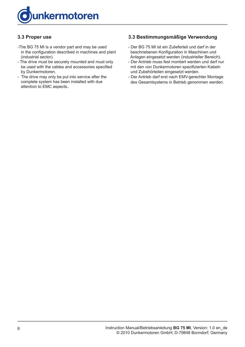<span id="page-5-0"></span>

### **3.3 Proper use**

- -The BG 75 MI is a vendor part and may be used in the configuration described in machines and plant (industrial sector).
- The drive must be securely mounted and must only be used with the cables and accessories specified by Dunkermotoren.
- The drive may only be put into service after the complete system has been installed with due attention to EMC aspects..

#### **3.3 Bestimmungsmäßige Verwendung**

- Der BG 75 MI ist ein Zulieferteil und darf in der beschriebenen Konfiguration in Maschinen und Anlagen eingesetzt werden (industrieller Bereich).
- Der Antrieb muss fest montiert werden und darf nur mit den von Dunkermotoren spezifizierten Kabeln und Zubehörteilen eingesetzt werden.
- Der Antrieb darf erst nach EMV-gerechter Montage des Gesamtsystems in Betrieb genommen werden.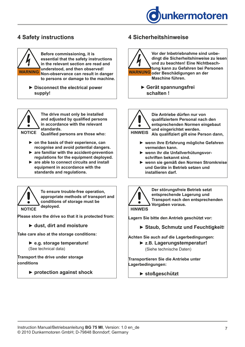



▶ Disconnect the electrical power  **supply!**



**The drive must only be installed and adjusted by qualified persons in accordance with the relevant standards.** 

**Qualified persons are those who: NOTICE**

- **► on the basis of their experience, can recognise and avoid potential dangers.**
- **► are familiar with the accident-prevention regulations for the equipment deployed.**
- ▶ are able to connect circuits and install  **equipment in accordance with the standards and regulations.**



**To ensure trouble-free operation, appropriate methods of transport and conditions of storage must be deployed.**

**Please store the drive so that it is protected from:**

 **► dust, dirt and moisture**

**Take care also at the storage conditions:**

 **► e.g. storage temperature!** (See technical data)

**Transport the drive under storage conditions**

 **► protection against shock**

# <span id="page-6-0"></span>**4 Safety instructions 4 Sicherheitshinweise**



 **► Gerät spannungsfrei schalten !**

**Die Antriebe dürfen nur von qualifiziertem Personal nach den entsprechenden Normen eingebaut**   $\bullet$ **und eingerichtet werden. Als qualifiziert gilt eine Person dann, HINWEIS**

- **► wenn ihre Erfahrung mögliche Gefahren vermeiden kann.**
- ▶ wenn ihr die Unfallverhütungsvor **schriften bekannt sind.**
- **► wenn sie gemäß den Normen Stromkreise und Geräte in Betrieb setzen und installieren darf.**



**Der störungsfreie Betrieb setzt entsprechende Lagerung und Transport nach den entsprechenden Vorgaben voraus.**

**Lagern Sie bitte den Antrieb geschützt vor:**

 **► Staub, Schmutz und Feuchtigkeit!**

**Achten Sie auch auf die Lagerbedingungen:** 

**► z.B. Lagerungstemperatur!** (Siehe technische Daten)

**Transportieren Sie die Antriebe unter Lagerbedingungen:**

**► stoßgeschützt**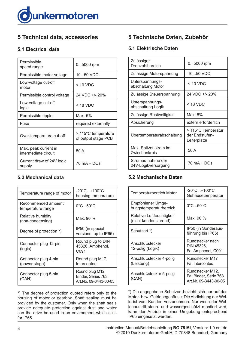<span id="page-7-0"></span>

# **5 Technical data, accessories**

### **5.1 Electrical data**

| Permissible<br>speed range                   | 05000 rpm                                  |
|----------------------------------------------|--------------------------------------------|
| Permissible motor voltage                    | 1050 VDC                                   |
| Low-voltage cut-off<br>motor                 | $<$ 10 VDC                                 |
| Permissible control voltage                  | 24 VDC +/- 20%                             |
| Low-voltage cut-off<br>logic                 | < 18 VDC                                   |
| Permissible ripple                           | Max. 5%                                    |
| Fuse                                         | required externally                        |
| Over-temperature cut-off                     | > 115°C temperature<br>of output stage PCB |
| Max. peak current in<br>intermediate circuit | 50 A                                       |
| Current draw of 24V logic<br>supply          | 70 mA + DOs                                |

### **5.2 Mechanical data**

| Temperature range of motor               | $-20^{\circ}$ C+100 $^{\circ}$ C<br>housing temperature        |
|------------------------------------------|----------------------------------------------------------------|
| Recommended ambient<br>temperature range | $0^{\circ}$ C50 $^{\circ}$ C                                   |
| Relative humidity<br>(non-condensing)    | Max. 90 %                                                      |
| Degree of protection *)                  | IP50 (in special<br>versions, up to IP65)                      |
| Connector plug 12-pin<br>(logic)         | Round plug to DIN<br>45326, Amphenol,<br>C091                  |
| Connector plug 4-pin<br>(power stage)    | Round plug M17,<br>Intercontec                                 |
| Connector plug 5-pin<br>(CAN)            | Round plug M12,<br>Binder, Series 763<br>Art.No. 09-3443-00-05 |

\*) The degree of protection quoted refers only to the housing of motor or gearbox. Shaft sealing must be provided by the customer. Only when the shaft seals provide adequate protection against dust and water can the drive be used in an environment which calls for IP65.

# **5 Technische Daten, Zubehör**

### **5.1 Elektrische Daten**

| Zulässiger<br>Drehzahlbereich            | 05000 rpm                                            |
|------------------------------------------|------------------------------------------------------|
| Zulässige Motorspannung                  | 1050 VDC                                             |
| Unterspannungs-<br>abschaltung Motor     | $<$ 10 VDC                                           |
| Zulässige Steuerspannung                 | 24 VDC +/- 20%                                       |
| Unterspannungs-<br>abschaltung Logik     | < 18 VDC                                             |
| Zulässige Restwelligkeit                 | Max. 5%                                              |
| Absicherung                              | extern erforderlich                                  |
| Übertemperaturabschaltung                | > 115°C Temperatur<br>der Endstufen-<br>Leiterplatte |
| Max. Spitzenstrom im<br>Zwischenkreis    | 50 A                                                 |
| Stromaufnahme der<br>24V-Logikversorgung | $70$ mA + DOs                                        |

### **5.2 Mechanische Daten**

| Temperaturbereich Motor                            | $-20^{\circ}$ C + 100 $^{\circ}$ C<br>Gehäusetemperatur            |
|----------------------------------------------------|--------------------------------------------------------------------|
| Empfohlener Umge-<br>bungstemperaturbereich        | $0^{\circ}$ C50 $^{\circ}$ C                                       |
| Relative Luftfeuchtigkeit<br>(nicht kondensierend) | Max. 90 %                                                          |
| Schutzart *)                                       | IP50 (in Sonderaus-<br>führung bis IP65)                           |
| Anschlußstecker<br>12-polig (Logik)                | Rundstecker nach<br>DIN 45326,<br>Fa. Amphenol, C091               |
| Anschlußstecker 4-polig<br>(Leistung)              | Rundstecker M17<br>Fa. Intercontec                                 |
| Anschlußstecker 5-polig<br>(CAN)                   | Rundstecker M12,<br>Fa. Binder, Serie 763<br>Art.Nr. 09-3443-00-05 |

\*) Die angegebene Schutzart bezieht sich nur auf das Motor- bzw. Getriebegehäuse. Die Abdichtung der Welle ist vom Kunden vorzunehmen. Nur wenn der Wellenaustritt staub- und wassergeschützt montiert wird, kann der Antrieb in einer Umgebung entsprechend IP65 eingesetzt werden.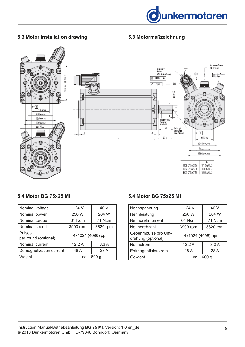

### <span id="page-8-0"></span>**5.3 Motor installation drawing**

### **5.3 Motormaßzeichnung**



#### **5.4 Motor BG 75x25 MI**

| Nominal voltage                       | 24 V              | 40 V     |
|---------------------------------------|-------------------|----------|
| Nominal power                         | 250 W             | 284 W    |
| Nominal torque                        | 61 Ncm            | 71 Ncm   |
| Nominal speed                         | 3900 rpm          | 3820 rpm |
| <b>Pulses</b><br>per round (optional) | 4x1024 (4096) ppr |          |
| Nominal current                       | 12,2A             | 8,3A     |
| Demagnetization current               | 48 A              | 28 A     |
| Weight                                | ca. 1600 g        |          |

### **5.4 Motor BG 75x25 MI**

| Nennspannung                               | 24 V              | 40 V     |
|--------------------------------------------|-------------------|----------|
| Nennleistung                               | 250 W             | 284 W    |
| Nenndrehmoment                             | 61 Ncm            | 71 Ncm   |
| Nenndrehzahl                               | 3900 rpm          | 3820 rpm |
| Geberimpulse pro Um-<br>drehung (optional) | 4x1024 (4096) ppr |          |
| Nennstrom                                  | 12,2A             | 8,3A     |
| Entmagnetisierstrom                        | 48 A              | 28 A     |
| Gewicht                                    | ca. 1600 g        |          |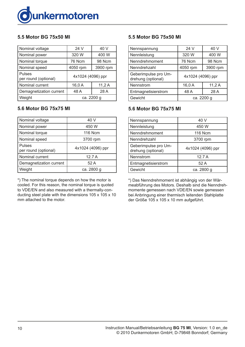<span id="page-9-0"></span>

### **5.5 Motor BG 75x50 MI**

| Nominal voltage                       | 24 V              | 40 V     |
|---------------------------------------|-------------------|----------|
| Nominal power                         | 320 W             | 400 W    |
| Nominal torque                        | 76 Ncm            | 98 Ncm   |
| Nominal speed                         | 4050 rpm          | 3900 rpm |
| <b>Pulses</b><br>per round (optional) | 4x1024 (4096) ppr |          |
| Nominal current                       | 16,0A             | 11,2A    |
| Demagnetization current               | 48 A              | 28 A     |
| Weight                                | ca. 2200 g        |          |

### **5.6 Motor BG 75x75 MI**

| Nominal voltage                       | 40 V              |
|---------------------------------------|-------------------|
| Nominal power                         | 450 W             |
| Nominal torque                        | <b>116 Ncm</b>    |
| Nominal speed                         | 3700 rpm          |
| <b>Pulses</b><br>per round (optional) | 4x1024 (4096) ppr |
| Nominal current                       | 12.7A             |
| Demagnetization current               | 52 A              |
| Weight                                | ca. 2800 g        |

\*) The nominal torque depends on how the motor is cooled. For this reason, the nominal torque is quoted to VDE/EN and also measured with a thermally-conducting steel plate with the dimensions 105 x 105 x 10 mm attached to the motor.

### **5.5 Motor BG 75x50 MI**

| Nennspannung                               | 24 V              | 40 V     |
|--------------------------------------------|-------------------|----------|
| Nennleistung                               | 320 W             | 400 W    |
| Nenndrehmoment                             | 76 Ncm            | 98 Ncm   |
| Nenndrehzahl                               | 4050 rpm          | 3900 rpm |
| Geberimpulse pro Um-<br>drehung (optional) | 4x1024 (4096) ppr |          |
| Nennstrom                                  | 16,0A             | 11,2A    |
| Entmagnetisierstrom                        | 48 A              | 28 A     |
| Gewicht                                    | ca. 2200 g        |          |

#### **5.6 Motor BG 75x75 MI**

| Nennspannung                               | 40 V              |
|--------------------------------------------|-------------------|
| Nennleistung                               | 450 W             |
| Nenndrehmoment                             | <b>116 Ncm</b>    |
| Nenndrehzahl                               | 3700 rpm          |
| Geberimpulse pro Um-<br>drehung (optional) | 4x1024 (4096) ppr |
| Nennstrom                                  | 12.7A             |
| Entmagnetisierstrom                        | 52 A              |
| Gewicht                                    | ca. 2800 g        |

\*) Das Nenndrehmoment ist abhängig von der Wärmeabführung des Motors. Deshalb sind die Nenndrehmomente gemessen nach VDE/EN sowie gemessen bei Anbringung einer thermisch leitenden Stahlplatte der Größe 105 x 105 x 10 mm aufgeführt.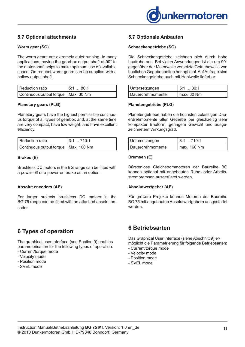

### <span id="page-10-0"></span>**5.7 Optional attachments**

#### **Worm gear (SG)**

The worm gears are extremely quiet running. In many applications, having the gearbox output shaft at 90° to the motor shaft helps to make optimum use of available space. On request worm gears can be supplied with a hollow output shaft.

| l Reduction ratio                     | 15:180:1 |
|---------------------------------------|----------|
| Continuous output torque   Max. 30 Nm |          |

#### **Planetary gears (PLG)**

Planetary gears have the highest permissible continuous torque of all types of gearbox and, at the same time are very compact, have low weight, and have excellent efficiency.

| l Reduction ratio                      | 13:1710:1 |
|----------------------------------------|-----------|
| Continuous output torque   Max. 160 Nm |           |

#### **Brakes (E)**

Brushless DC motors in the BG range can be fitted with a power-off or a power-on brake as an option.

#### **Absolut encoders (AE)**

For larger projects brushless DC motors in the BG 75 range can be fitted with an attached absolut encoder.

# **6 Types of operation**

The graphical user interface (see Section 9) enables parameterisation for the following types of operation: - Current/torque mode

- Velocity mode
- Position mode
- SVEL mode

#### **5.7 Optionale Anbauten**

#### **Schneckengetriebe (SG)**

Die Schneckengetriebe zeichnen sich durch hohe Laufruhe aus. Bei vielen Anwendungen ist die um 90° gegenüber der Motorwelle versetzte Getriebewelle von baulichen Gegebenheiten her optimal. Auf Anfrage sind Schneckengetriebe auch mit Hohlwelle lieferbar.

| Untersetzungen   | 5:1  80:1  |
|------------------|------------|
| Dauerdrehmomente | Imax.30 Nm |

#### **Planetengetriebe (PLG)**

Planetengetriebe haben die höchsten zulässigen Dauerdrehmomente aller Getriebe bei gleichzeitig sehr kompakter Bauform, geringem Gewicht und ausgezeichnetem Wirkungsgrad.

| Untersetzungen   | 13:1710:1     |
|------------------|---------------|
| Dauerdrehmomente | I max. 160 Nm |

#### **Bremsen (E)**

Bürstenlose Gleichstrommotoren der Baureihe BG können optional mit angebauten Ruhe- oder Arbeitsstrombremsen ausgerüstet werden.

#### **Absolutwertgeber (AE)**

Für größere Projekte können Motoren der Baureihe BG 75 mit angebauten Absolutwertgebern ausgestattet werden.

### **6 Betriebsarten**

Das Graphical User Interface (siehe Abschnitt 9) ermöglicht die Parametrierung für folgende Betriebsarten:

- Current/torque mode
- Velocity mode
- Position mode
- SVEL mode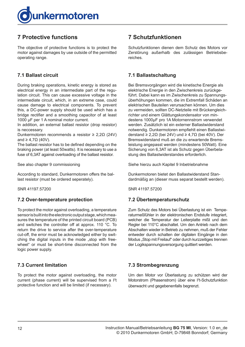<span id="page-11-0"></span>

# **7 Protective functions**

The objective of protective functions is to protect the motor against damages by use outside of the permitted operating range.

### **7.1 Ballast circuit**

During braking operations, kinetic energy is stored as electrical energy in an intermediate part of the regulation circuit. This can cause excessive voltage in the intermediate circuit, which, in an extreme case, could cause damage to electrical components. To prevent this, a DC-power supply should be used which has a bridge rectifier and a smoothing capacitor of at least 1000 µF per 1 A nominal motor current.

In addition, an external ballast resistor (drop resistor) is neccessary.

Dunkermotoren recommends a resistor ≥ 2,2Ω (24V) and  $\geq 4.7\Omega$  (40V).

The ballast resistor has to be defined depending on the braking power (at least 50watts). It is necessary to use a fuse of 6,3AT against overloading of the ballast resistor.

See also chapter 9 commissioning

According to standard, Dunkermotoren offers the ballast resistor (must be ordered seperately).

SNR 41197.57200

#### **7.2 Over-temperature protection**

To protect the motor against overloading, a temperature sensor is built into the electronic output stage, which measures the temperature of the printed circuit board (PCB) and switches the controller off at approx. 110 °C. To return the drive to service after the over-temperature cut-off, the error must be acknowledged either by switching the digital inputs in the mode "stop with freewheel" or must be short-time disconnected from the logic power supply.

### **7.3 Current limitation**

To protect the motor against overloading, the motor current (phase current) will be supervised from a  $1<sup>2</sup>t$ protective function and will be limited (if necessary).

# **7 Schutzfunktionen**

Schutzfunktionen dienen dem Schutz des Motors vor Zerstörung außerhalb des zulässigen Betriebsbereiches.

#### **7.1 Ballastschaltung**

Bei Bremsvorgängen wird die kinetische Energie als elektrische Energie in den Zwischenkreis zurückgeführt. Dabei kann es im Zwischenkreis zu Spannungsüberhöhungen kommen, die im Extremfall Schäden an elektrischen Bauteilen verursachen können. Um dies zu vermeiden, sollten DC-Netzteile mit Brückengleichrichter und einem Glättungskondensator von mindestens 1000µF pro 1A Motornennstrom verwendet werden. Zusätzlich ist ein externer Ballastwiderstand notwendig. Dunkermotoren empfiehlt einen Ballastwiderstand ≥ 2,2Ω (bei 24V) und ≥ 4,7Ω (bei 40V). Der Bremswiderstand muß an die zu erwartende Bremsleistung angepasst werden (mindestens 50Watt). Eine Sicherung von 6,3AT ist als Schutz gegen Überbelastung des Ballastwiderstandes erforderlich.

Siehe hierzu auch Kapitel 9 Inbetriebnahme

Dunkermotoren bietet den Ballastwiderstand Standardmäßig an (dieser muss separat bestellt werden).

SNR 41197.57200

### **7.2 Übertemperaturschutz**

Zum Schutz des Motors bei Überlastung ist ein Temperaturmeßfühler in der elektronischen Endstufe integriert, welcher die Temperatur der Leiterplatte mißt und den Regler bei 110°C abschaltet. Um den Antrieb nach dem Abschalten wieder in Betrieb zu nehmen, muß der Fehler entweder durch schalten der digitalen Eingänge in den Modus "Stop mit Freilauf" oder durch kurzzeitiges trennen der Logikspannungsversorgung quittiert werden.

### **7.3 Strombegrenzung**

Um den Motor vor Überlastung zu schützen wird der Motorstrom (Phasenstrom) über eine l<sup>2</sup>t-Schutzfunktion überwacht und gegebenenfalls begrenzt.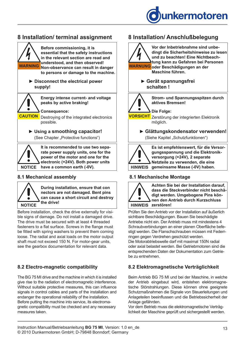

# <span id="page-12-0"></span>**8 Installation/ terminal assignment**



#### **8.1 Mechanical assembly**



**During installation, ensure that con nectors are not damaged. Bent pins can cause a short circuit and destroy** 

Before installation, check the drive externally for visible signs of damage. Do not install a damaged drive. The drive must be secured with at least 4 threaded fasteners to a flat surface. Screws in the flange must be fitted with spring washers to prevent them coming loose. The radial and axial loads on the motor output shaft must not exceed 150 N. For motor-gear units, see the gearbox documentation for relevant data.

### **8.2 Electro-magnetic compatibility**

The BG 75 MI drive and the machine in which it is installed give rise to the radiation of electromagnetic interference. Without suitable protective measures, this can influence signals in control cables and parts of the installation and endanger the operational reliability of the installation. Before putting the machine into service, its electromagnetic compatibility must be checked and any necessary measures taken.

# **8 Installation/ Anschlußbelegung**



 **schalten !**



**Strom- und Spannungsspitzen durch aktives Bremsen!**

**Die Folge:** <mark>VORSICHT</mark> Zerstörung der integrierten Elektronik möglich.

**► Glättungskondensator verwenden!** (Siehe Kapitel "Schutzfunktionen")



**Es ist empfehlenswert, für die Versorgungsspannung und die Elektronikversorgung (+24V), 2 separate Netzteile zu verwenden, die eine HINWEIS gemeinsame Masse (-0V) haben.**

### **8.1 Mechanische Montage**



**Achten Sie bei der Installation darauf, dass die Steckverbinder nicht beschädigt werden. Umgebogene Pins können den Antrieb durch Kurzschluss**

Prüfen Sie den Antrieb vor der Installation auf äußerlich sichtbare Beschädigungen. Bauen Sie beschädigte Antriebe nicht ein. Der Antrieb muss mit mindestens 4 Schraubverbindungen an einer planen Oberfläche befestigt werden. Die Flanschschrauben müssen mit Federrringen gegen Verdrehen geschützt werden.

Die Motorabtriebswelle darf mit maximal 150N radial oder axial belastet werden. Bei Getriebmotoren sind die entsprechenden Daten der Dokumentation zum Getriebe zu entnehmen.

### **8.2 Elektromagnetische Verträglichkeit**

Beim Antrieb BG 75 MI und bei der Maschine, in welche der Antrieb eingebaut wird, entstehen elektromagnetische Störstrahlungen. Diese können ohne geeignete Schutzmaßnahmen die Signale von Steuerleitungen und Anlageteilen beeinflussen und die Betriebssicherheit der Anlage gefährden.

Vor dem Betrieb muss die elektromagnetische Verträglichkeit der Maschine geprüft und sichergestellt werden.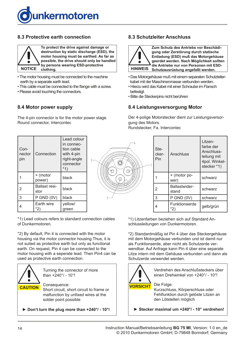<span id="page-13-0"></span>

### **8.3 Protective earth connection**



**To protect the drive against damage or destruction by static discharge (ESD), the motor housing must be earthed. As far as possible, the drive should only be handled by persons wearing ESD-protective** 

- The motor housing must be connected to the machine earth by a separate earth lead.
- This cable must be connected to the flange with a screw.
- Please avoid touching the connectors.

### **8.4 Motor power supply**

The 4-pin connector is for the motor power stage. Round connector, Intercontec

### **8.3 Schutzleiter Anschluss**



- Das Motorgehäuse muß mit einem separaten Schutzleiter kabel mit der Maschinenmasse verbunden werden.
- Hierzu wird das Kabel mit einer Schraube im Flansch befestigt.
- Bitte die Steckerpins nicht berühren

#### **8.4 Leistungsversorgung Motor**

Der 4-polige Motorstecker dient zur Leistungsversorgung des Motors. Rundstecker, Fa. Intercontec

| Con-<br>nector<br>pin | Connection            | Lead colour<br>in connec-<br>tion cable<br>with 4-pin<br>right-angle<br>connector<br>*1) |
|-----------------------|-----------------------|------------------------------------------------------------------------------------------|
|                       | + (motor<br>power)    | black                                                                                    |
| 2                     | Ballast resi-<br>stor | black                                                                                    |
| 3                     | $P$ GND $(0V)$        | black                                                                                    |
|                       | Earth wire<br>*2)     | yellow/<br>green                                                                         |

\*1) Lead colours refers to standard connection cables of Dunkermotoren.

\*2) By default, Pin 4 is connected with the motor housing via the motor connector housing.Thus, it is not suited as protective earth but only as functional earth. On request, Pin 4 can be connected to the motor housing with a seperate lead. Then Pin4 can be used as protective earth connection.



Turning the connector of more than +240°/ - 10°!

Consequence:

Short circuit, short circuit to frame or malfunction by unfixed wires at the solder point possible

 **► Don't turn the plug more than +240°/ - 10°!**



| Ste-<br>cker-<br>Pin | Anschluss              | Litzen-<br>farbe der<br>Anschluss-<br>leitung mit<br>4pol. Winkel-<br>stecker *1) |
|----------------------|------------------------|-----------------------------------------------------------------------------------|
|                      | + (motor po-<br>wer)   | schwarz                                                                           |
| 2                    | Ballastwider-<br>stand | schwarz                                                                           |
| 3                    | $P$ GND $(0V)$         | schwarz                                                                           |
|                      | Funktionserde<br>*2)   | gelb/grün                                                                         |

\*1) Litzenfarben beziehen sich auf Standard Anschlussleitungen von Dunkermotoren.

\*2) Standardmäßig ist Pin 4 über das Steckergehäuse mit dem Motorgehäuse verbunden und ist damit nur als Funktionserde, aber nicht als Schutzerde verwendbar. Auf Anfrage kann Pin 4 über eine separate Litze intern mit dem Gehäuse verbunden und dann als Schutzerde verwendet werden.



Verdrehen des Anschlußsteckers über einen Drehwinkel von +240°/ - 10°!

Die Folge: Kurzschluss, Körperschluss oder Fehlfunktion durch gelöste Litzen an den Lötstellen möglich

 **► Stecker maximal um +240°/ - 10° verdrehen!**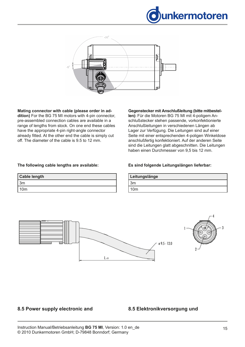

<span id="page-14-0"></span>

**Mating connector with cable (please order in addition)** For the BG 75 MI motors with 4-pin connector, pre-assembled connection cables are available in a range of lengths from stock. On one end these cables have the appropriate 4-pin right-angle connector already fitted. At the other end the cable is simply cut off. The diameter of the cable is 9.5 to 12 mm.

#### **Gegenstecker mit Anschlußleitung (bitte mitbestel-**

**len):** Für die Motoren BG 75 MI mit 4-poligem Anschlußstecker stehen passende, vorkonfektionierte Anschlußleitungen in verschiedenen Längen ab Lager zur Verfügung. Die Leitungen sind auf einer Seite mit einer entsprechenden 4-poligen Winkeldose anschlußfertig konfektioniert. Auf der anderen Seite sind die Leitungen glatt abgeschnitten. Die Leitungen haben einen Durchmesser von 9,5 bis 12 mm.

#### **The following cable lengths are available:**

| <b>Cable length</b> |
|---------------------|
| 3m                  |
| 10 <sub>m</sub>     |

#### **Es sind folgende Leitungslängen lieferbar:**

| Leitungslänge |  |
|---------------|--|
| 3m            |  |
| 0m            |  |



#### **8.5 Power supply electronic and**

#### **8.5 Elektronikversorgung und**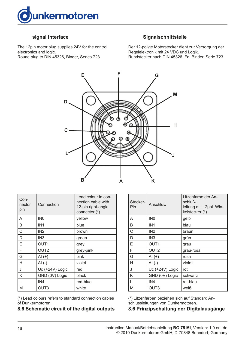<span id="page-15-0"></span>

#### **signal interface**

The 12pin motor plug supplies 24V for the control electronics and logic. Round plug to DIN 45326, Binder, Series 723

#### **Signalschnittstelle**

Der 12-polige Motorstecker dient zur Versorgung der Regelelektronik mit 24 VDC und Logik. Rundstecker nach DIN 45326, Fa. Binder, Serie 723



| Con-<br>nector<br>pin | Connection       | Lead colour in con-<br>nection cable with<br>12-pin right-angle<br>connector (*) |
|-----------------------|------------------|----------------------------------------------------------------------------------|
| A                     | IN <sub>0</sub>  | yellow                                                                           |
| B                     | IN <sub>1</sub>  | blue                                                                             |
| $\mathsf{C}$          | IN <sub>2</sub>  | brown                                                                            |
| D                     | IN <sub>3</sub>  | green                                                                            |
| E                     | OUT <sub>1</sub> | grey                                                                             |
| F                     | OUT <sub>2</sub> | grey-pink                                                                        |
| G                     | $AI (+)$         | pink                                                                             |
| H                     | $AI(-)$          | violet                                                                           |
| J                     | Uc (+24V) Logic  | red                                                                              |
| K                     | GND (0V) Logic   | black                                                                            |
| L                     | IN4              | red-blue                                                                         |
| M                     | OUT3             | white                                                                            |

(\*) Lead colours refers to standard connection cables of Dunkermotoren.

#### **8.6 Schematic circuit of the digital outputs**

| Stecker-<br>Pin | Anschluß         | Litzenfarbe der An-<br>schluß-<br>leitung mit 12pol. Win-<br>kelstecker (*) |
|-----------------|------------------|-----------------------------------------------------------------------------|
| A               | IN <sub>0</sub>  | gelb                                                                        |
| B               | IN <sub>1</sub>  | blau                                                                        |
| С               | IN <sub>2</sub>  | braun                                                                       |
| D               | IN <sub>3</sub>  | grün                                                                        |
| Е               | OUT <sub>1</sub> | grau                                                                        |
| F               | OUT <sub>2</sub> | grau-rosa                                                                   |
| G               | $AI(+)$          | rosa                                                                        |
| н               | $AI(-)$          | violett                                                                     |
| J               | Uc (+24V) Logic  | rot                                                                         |
| Κ               | GND (0V) Logic   | schwarz                                                                     |
|                 | IN4              | rot-blau                                                                    |
| M               | OUT <sub>3</sub> | weiß                                                                        |

(\*) Litzenfarben beziehen sich auf Standard Anschlussleitungen von Dunkermotoren.

#### **8.6 Prinzipschaltung der Digitalausgänge**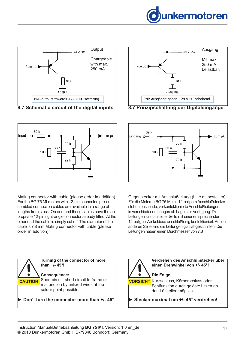



**8.7 Schematic circuit of the digital inputs**



Mating connector with cable (please order in addition) For the BG 75 MI motors with 12-pin connector, pre-assembled connection cables are available in a range of lengths from stock. On one end these cables have the appropriate 12-pin right-angle connector already fitted. At the other end the cable is simply cut off. The diameter of the cable is 7.8 mm.Mating connector with cable (please order in addition)



**8.7 Prinzipschaltung der Digitaleingänge**



Gegenstecker mit Anschlußleitung (bitte mitbestellen): Für die Motoren BG 75 MI mit 12-poligem Anschlußstecker stehen passende, vorkonfektionierte Anschlußleitungen in verschiedenen Längen ab Lager zur Verfügung. Die Leitungen sind auf einer Seite mit einer entsprechenden 12-poligen Winkeldose anschlußfertig konfektioniert. Auf der anderen Seite sind die Leitungen glatt abgeschnitten. Die Leitungen haben einen Durchmesser von 7,8



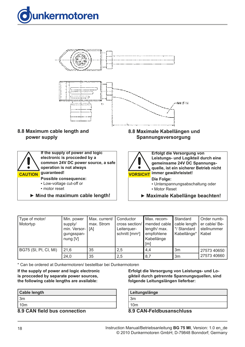<span id="page-17-0"></span>



### **8.8 Maximum cable length and power supply**



**► Mind the maximum cable length!** 

### **8.8 Maximale Kabellängen und Spannungsversorgung**



**Erfolgt die Versorgung von Leistungs- und Logikteil durch eine gemeinsame 24V DC Spannungsquelle, ist ein sicherer Betrieb nicht immer gewährleistet!**

**Die Folge:** ▪ Unterspannungsabschaltung oder

▪ Motor Reset

**► Maximale Kabellänge beachten!** 

| Type of motor/<br>Motortyp | Min. power<br>supply/<br>min. Versor-   [A]<br>gungsspan-<br>nung [V] | Max. current/<br>max. Strom | Conductor<br>cross section/<br>Leiterquer-<br>schnitt $\text{[mm}^2$ | Max. recom-<br>mended cable<br>length/ max.<br>empfohlene<br>Kabellänge<br>[m] | Standard<br>cable length<br>*/ Standard<br>Kabellänge* | Order numb-<br>er cable/ Be-<br>stellnummer<br>Kabel |
|----------------------------|-----------------------------------------------------------------------|-----------------------------|----------------------------------------------------------------------|--------------------------------------------------------------------------------|--------------------------------------------------------|------------------------------------------------------|
| BG75 (SI, PI, CI, MI)      | 21,6                                                                  | 35                          | 2,5                                                                  | 4,4                                                                            | 3m                                                     | 27573 40650                                          |
|                            | 24,0                                                                  | 35                          | 2,5                                                                  | 8,7                                                                            | 3 <sub>m</sub>                                         | 27573 40660                                          |

\* Can be ordered at Dunkermotoren/ bestellbar bei Dunkermotoren

#### **If the supply of power and logic electronic is procceded by separate power sources, the following cable lengths are available:**

| <b>Cable length</b> |
|---------------------|
| ∣3m                 |
| 10 <sub>m</sub>     |

**8.9 CAN field bus connection**

**Erfolgt die Versorgung von Leistungs- und Logikteil durch getrennte Spannungsquellen, sind folgende Leitungslängen lieferbar:**

| Leitungslänge   |     |
|-----------------|-----|
| 3m              |     |
| 10 <sub>m</sub> |     |
| . <b>.</b><br>. | . . |

**8.9 CAN-Feldbusanschluss**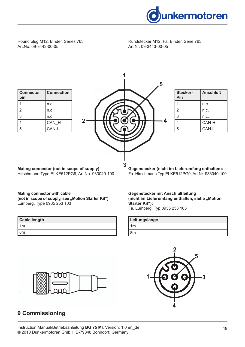

<span id="page-18-0"></span>Round plug M12, Binder, Series 763, Art.No. 09-3443-00-05

| <b>Connector</b><br>pin | <b>Connection</b> |
|-------------------------|-------------------|
|                         | n.c               |
| 2                       | n.c               |
| 3                       | n.c               |
| 4                       | CAN H             |
| 5                       | CAN-L             |



**1**

| Stecker-<br>Pin | <b>Anschluß</b> |
|-----------------|-----------------|
|                 | n.c.            |
| $\mathfrak{p}$  | n.c.            |
| 3               | n.c.            |
|                 | CAN-H           |
| 5               | CAN-L           |

**Mating connector (not in scope of supply)**  Hirschmann Type ELKE512PG9, Art.No. 933040-100

#### **Gegenstecker (nicht im Lieferumfang enthalten):** Fa. Hirschmann Typ ELKE512PG9, Art.Nr. 933040-100

## **Mating connector with cable**  (not in scope of supply, see "Motion Starter Kit")

Lumberg, Type 0935 253 103

| <b>Cable length</b> |
|---------------------|
| 1m                  |
| ' 8m                |

### **Gegenstecker mit Anschlußleitung**  (nicht im Lieferumfang enthalten, siehe "Motion **Starter Kit"):**

Fa. Lumberg, Typ 0935 253 103

| Leitungslänge |  |
|---------------|--|
| 1m            |  |
| m             |  |





# **9 Commissioning**

Rundstecker M12, Fa. Binder, Serie 763, Art.Nr. 09-3443-00-05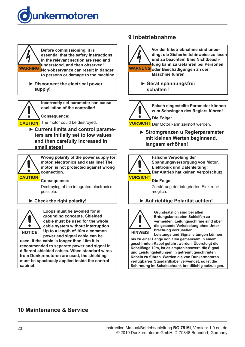<span id="page-19-0"></span>



**Before commissioning, it is essential that the safety instructions in the relevant section are read and understood, and then observed! Non-observance can result in danger WARNING WARNUNG to persons or damage to the machine.**

▶ Disconnect the electrical power  **supply!**



**Incorrectly set parameter can cause oscillation of the controller!**

**Consequence:**

**CAUTION** The motor could be destroyed.

**► Current limits and control parameters are initially set to low values and then carefully increased in small steps!**



**Wrong polarity of the power supply for motor, electronics and data line! The motor is not protected against wrong connection.**

#### **Consequence:**

Destroying of the integrated electronics possible.

#### **► Check the right polarity!**



**Loops must be avoided for all grounding concepts. Shielded cable must be used for the whole cable system without interruption. Up to a length of 10m a common** 

**power and signal cable can be used. If the cable is longer than 10m it is recommended to separate power and signal in different shielded cables. When standard wires from Dunkermotoren are used, the shielding must be spaciously applied inside the control cabinet.**

# **9 Inbetriebnahme**



**Vor der Inbetriebnahme sind unbedingt die Sicherheitshinweise zu lesen und zu beachten! Eine Nichtbeachtung kann zu Gefahren bei Personen oder Beschädigungen an der Maschine führen.**

> **► Gerät spannungsfrei schalten !**



**Falsch eingestellte Parameter können zum Schwingen des Reglers führen!**

**VORSICHT** Der Motor kann zerstört werden.

**► Stromgrenzen u Reglerparameter mit kleinen Werten beginnend, langsam erhöhen!**



**Falsche Verpolung der Spannungsversorgung von Motor, Elektronik und Datenleitung! Der Antrieb hat keinen Verpolschutz.**

**Die Folge:**

Zerstörung der integrierten Elektronik möglich.

### **► Auf richtige Polarität achten!**



**Grundsätzlich sind bei allen Erdungskonzepten Schleifen zu vermeiden. Leitungsschirme sind über die gesamte Verkabelung ohne Unterbrechung vorzusehen.** 

**Leistungs und Signalleitungen können bis zu einer Länge von 10m gemeinsam in einem geschirmten Kabel geführt werden. Übersteigt die Kabellänge 10m, ist es empfehlenswert, die Signal und Leistungsleitungen in getrennt geschirmten Kabeln zu führen. Werden die von Dunkermotoren verfügbaren Standardkabel verwendet, so ist die Schirmung im Schaltschrank breitflächig aufzulegen.** 

# **10 Maintenance & Service**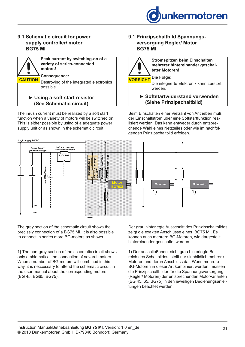

#### **9.1 Schematic circuit for power supply controller/ motor BG75 MI**



The inrush current must be realized by a soft start function when a variety of motors will be switched on. This is either possible by using of a adequate power supply unit or as shown in the schematic circuit.

#### **9.1 Prinzipschaltbild Spannungs versorgung Regler/ Motor BG75 MI**



**Stromspitzen beim Einschalten mehrerer hintereinander geschalteter Motoren!**

**Die Folge:** Die integrierte Elektronik kann zerstört werden.

**► Softstartwiderstand verwenden (Siehe Prinzipschaltbild)**

Beim Einschalten einer Vielzahl von Antrieben muß der Einschaltstrom über eine Softstartfunktion realisiert werden. Das kann entweder durch entsprechende Wahl eines Netzteiles oder wie im nachfolgenden Prinzipschaltbild erfolgen.<br>genden Prinzipschaltbild erfolgen.



The grey section of the schematic circuit shows the precisely connection of a BG75 MI. It is also possible to connect in series more BG-motors as shown.

**1)** The non-grey section of the schematic circuit shows only emblematical the connection of several motors. When a number of BG-motors will combined in this way, it is neccessary to attend the schematic circuit in the user manual about the corresponding motors (BG 45, BG65, BG75).

Der grau hinterlegte Ausschnitt des Prinzipschaltbildes zeigt die exakten Anschlüsse eines BG75 MI. Es können auch mehrere BG-Motoren, wie dargestellt, hintereinander geschaltet werden.

> **1)** Der anschließende, nicht grau hinterlegte Bereich des Schaltbildes, stellt nur sinnbildlich mehrere Motoren und deren Anschluss dar. Wenn mehrere BG-Motoren in dieser Art kombiniert werden, müssen die Prinzipschaltbilder für die Spannungsversorgung (Regler/ Motoren) der entsprechenden Motorvarianten (BG 45, 65, BG75) in den jeweiligen Bedienungsanleitungen beachtet werden.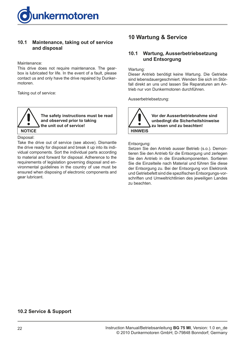<span id="page-21-0"></span>

#### **10.1 Maintenance, taking out of service and disposal**

#### Maintenance:

This drive does not require maintenance. The gearbox is lubricated for life. In the event of a fault, please contact us and only have the drive repaired by Dunkermotoren.

Taking out of service:



Disposal:

Take the drive out of service (see above). Dismantle the drive ready for disposal and break it up into its individual components. Sort the individual parts according to material and forward for disposal. Adherence to the requirements of legislation governing disposal and environmental guidelines in the country of use must be ensured when disposing of electronic components and gear lubricant.

# **10 Wartung & Service**

#### **10.1 Wartung, Ausserbetriebsetzung und Entsorgung**

Wartung:

Dieser Antrieb benötigt keine Wartung. Die Getriebe sind lebensdauergeschmiert. Wenden Sie sich im Störfall direkt an uns und lassen Sie Reparaturen am Antrieb nur von Dunkermotoren durchführen.

Ausserbetriebsetzung:

**Vor der Ausserbetriebnahme sind unbedingt die Sicherheitshinweise zu lesen und zu beachten! HINWEIS**

Entsorgung:

Setzen Sie den Antrieb ausser Betrieb (s.o.). Demontieren Sie den Antrieb für die Entsorgung und zerlegen Sie den Antrieb in die Einzelkomponenten. Sortieren Sie die Einzelteile nach Material und führen Sie diese der Entsorgung zu. Bei der Entsorgung von Elektronik und Getriebefett sind die spezifischen Entsorgungs-vorschriften und Umweltrichtlinien des jeweiligen Landes zu beachten.

#### **10.2 Service & Support**